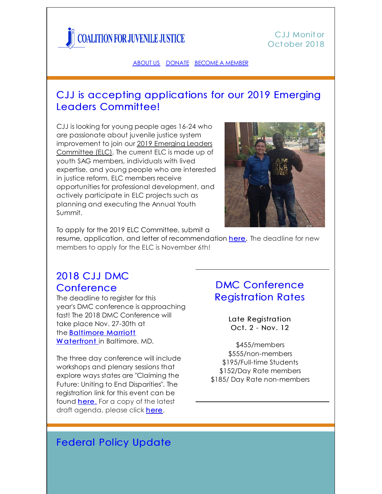

### C.J.J Monitor Oct ober 2018

#### [ABOUT](http://www.juvjustice.org/about-us) US [DONATE](http://www.juvjustice.org/about-us/donate) [BECOME](http://www.juvjustice.org/about-us/members) A MEMBER

## CJJ is accepting applications for our 2019 Emerging Leaders Committee!

CJJ is looking for young people ages 16-24 who are passionate about juvenile justice system [improvement](https://www.juvjustice.org/blog/1068) to join our 2019 Emerging Leaders Committee (ELC). The current ELC is made up of youth SAG members, individuals with lived expertise, and young people who are interested in justice reform. ELC members receive opportunities for professional development, and actively participate in ELC projects such as planning and executing the Annual Youth Summit.



To apply for the 2019 ELC Committee, submit a

resume, application, and letter of recommendation [here](https://www.surveygizmo.com/s3/4568338/ELC-Application-2018). The deadline for new members to apply for the ELC is November 6th!

# 2018 CJJ DMC **Conference**

The deadline to register for this year's DMC conference is approaching fast! The 2018 DMC Conference will take place Nov. 27-30th at the [Baltimore](https://book.passkey.com/event/49650862/owner/3649/home) Marriott W aterfront in Baltimore, MD.

The three day conference will include workshops and plenary sessions that explore ways states are "Claiming the Future: Uniting to End Disparities". The registration link for this event can be found **here**. For a copy of the latest draft agenda, please click [here](http://www.juvjustice.org/sites/default/files/ckfinder/files/DMC Conference Draft 10_15.pdf).

## DMC Conference Registration Rates

Late Registration Oct. 2 - Nov. 12

\$455/members \$555/non-members \$195/Full-time Students \$152/Day Rate members \$185/ Day Rate non-members

## **Federal Policy Update**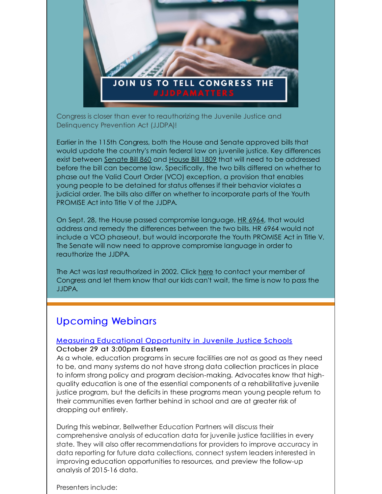

Congress is closer than ever to reauthorizing the Juvenile Justice and Delinquency Prevention Act (JJDPA)!

Earlier in the 115th Congress, both the House and Senate approved bills that would update the country's main federal law on juvenile justice. Key differences exist between [Senate](https://www.congress.gov/115/bills/s860/BILLS-115s860es.pdf) Bill 860 and [House](https://www.congress.gov/115/bills/hr1809/BILLS-115hr1809pcs.pdf) Bill 1809 that will need to be addressed before the bill can become law. Specifically, the two bills differed on whether to phase out the Valid Court Order (VCO) exception, a provision that enables young people to be detained for status offenses if their behavior violates a judicial order. The bills also differ on whether to incorporate parts of the Youth PROMISE Act into Title V of the JJDPA.

On Sept. 28, the House passed compromise language, HR [6964](https://www.congress.gov/115/bills/hr6964/BILLS-115hr6964pcs.pdf), that would address and remedy the differences between the two bills. HR 6964 would not include a VCO phaseout, but would incorporate the Youth PROMISE Act in Title V. The Senate will now need to approve compromise language in order to reauthorize the JJDPA.

The Act was last reauthorized in 2002. Click [here](https://sparkaction.org/content/take-action-jjdpamatters-keep-kids-and-communities-safe) to contact your member of Congress and let them know that our kids can't wait, the time is now to pass the JJDPA.

## Upcoming Webinars

## Measuring [Educational](http://juvjustice.org/webinars-and-trainings/future-opportunities) Opportunity in Juvenile Justice Schools

#### October 29 at 3:00pm Eastern

As a whole, education programs in secure facilities are not as good as they need to be, and many systems do not have strong data collection practices in place to inform strong policy and program decision-making. Advocates know that highquality education is one of the essential components of a rehabilitative juvenile justice program, but the deficits in these programs mean young people return to their communities even farther behind in school and are at greater risk of dropping out entirely.

During this webinar, Bellwether Education Partners will discuss their comprehensive analysis of education data for juvenile justice facilities in every state. They will also offer recommendations for providers to improve accuracy in data reporting for future data collections, connect system leaders interested in improving education opportunities to resources, and preview the follow-up analysis of 2015-16 data.

Presenters include: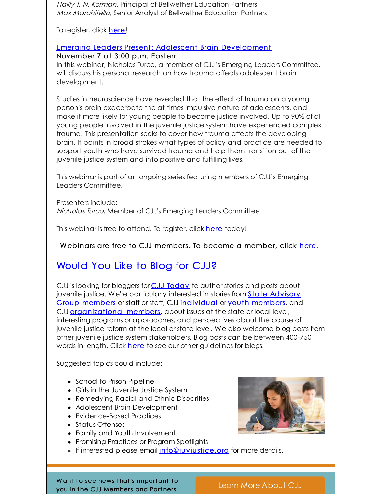Hailly T. N. Korman, Principal of Bellwether Education Partners Max Marchitello, Senior Analyst of Bellwether Education Partners

To register, click [here](https://register.gotowebinar.com/register/1397753450094436354)!

### Emerging Leaders Present: Adolescent Brain [Development](https://register.gotowebinar.com/register/3260858312393110787)

November 7 at 3:00 p.m. Eastern

In this webinar, Nicholas Turco, a member of CJJ's Emerging Leaders Committee, will discuss his personal research on how trauma affects adolescent brain development.

Studies in neuroscience have revealed that the effect of trauma on a young person's brain exacerbate the at times impulsive nature of adolescents, and make it more likely for young people to become justice involved. Up to 90% of all young people involved in the juvenile justice system have experienced complex trauma. This presentation seeks to cover how trauma affects the developing brain. It paints in broad strokes what types of policy and practice are needed to support youth who have survived trauma and help them transition out of the juvenile justice system and into positive and fulfilling lives.

This webinar is part of an ongoing series featuring members of CJJ's Emerging Leaders Committee.

Presenters include: Nicholas Turco, Member of CJJ's Emerging Leaders Committee

This webinar is free to attend. To register, click [here](https://attendee.gotowebinar.com/register/3260858312393110787) today!

Webinars are free to CJJ members. To become a member, click [here](http://www.juvjustice.org/civicrm/contribute/transact?reset=1&id=2).

# Would You Like to Blog for CJJ?

CJJ is looking for bloggers for CJJ [Today](http://www.juvjustice.org/blog) to author stories and posts about juvenile justice. We're [particularly](http://www.juvjustice.org/about-us/state-advisory-group-members) interested in stories from State Advisory Group members or staff or staff, CJJ [individual](http://juvjustice.org/about-us/members/individual-memberships) or youth [members](http://juvjustice.org/youth-members), and CJJ **[organizational](http://www.juvjustice.org/about-us/members/organizational-memberships) members**, about issues at the state or local level, interesting programs or approaches, and perspectives about the course of juvenile justice reform at the local or state level. We also welcome blog posts from other juvenile justice system stakeholders. Blog posts can be between 400-750 words in length. Click [here](http://files.constantcontact.com/31e4a892301/ae2fa24f-a0c7-4002-a04b-2d9a65ad104a.pdf) to see our other guidelines for blogs.

Suggested topics could include:

- School to Prison Pipeline
- Girls in the Juvenile Justice System
- Remedying Racial and Ethnic Disparities
- Adolescent Brain Development
- Evidence-Based Practices
- Status Offenses
- Family and Youth Involvement
- Promising Practices or Program Spotlights
- **If interested please email [info@juvjustice.org](mailto:info@juvjustice.org) for more details.**



W ant to see news that's important to you in the CJJ Members and Partners

Learn More [About](http://juvjustice.org/about-us/members) CJJ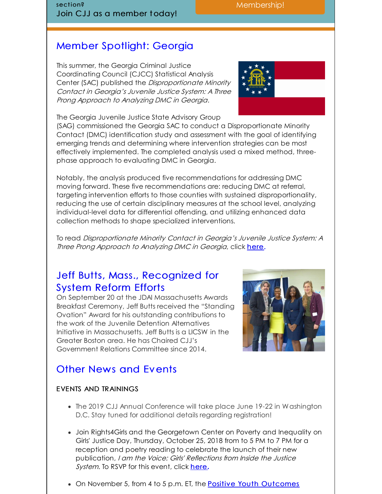section? Join CJJ as a member today!

# Member Spotlight: Georgia

This summer, the Georgia Criminal Justice Coordinating Council (CJCC) Statistical Analysis Center (SAC) published the Disproportionate Minority Contact in Georgia's Juvenile Justice System: A Three Prong Approach to Analyzing DMC in Georgia.

The Georgia Juvenile Justice State Advisory Group

(SAG) commissioned the Georgia SAC to conduct a Disproportionate Minority Contact (DMC) identification study and assessment with the goal of identifying emerging trends and determining where intervention strategies can be most effectively implemented. The completed analysis used a mixed method, threephase approach to evaluating DMC in Georgia.

Notably, the analysis produced five recommendations for addressing DMC moving forward. These five recommendations are: reducing DMC at referral, targeting intervention efforts to those counties with sustained disproportionality, reducing the use of certain disciplinary measures at the school level, analyzing individual-level data for differential offending, and utilizing enhanced data collection methods to shape specialized interventions.

To read Disproportionate Minority Contact in Georgia's Juvenile Justice System: A Three Prong Approach to Analyzing DMC in Georgia, click [here](https://cjcc.georgia.gov/sites/cjcc.georgia.gov/files/2018 DMC Assessment - 6.26.18.pdf).

## Jeff Butts, Mass., Recognized for System Reform Efforts

On September 20 at the JDAI Massachusetts Awards Breakfast Ceremony, Jeff Butts received the "Standing Ovation" Award for his outstanding contributions to the work of the Juvenile Detention Alternatives Initiative in Massachusetts. Jeff Butts is a LICSW in the Greater Boston area. He has Chaired CJJ's Government Relations Committee since 2014.



Membership!

## Other News and Events

### EVENTS AND TRAININGS

- The 2019 CJJ Annual Conference will take place June 19-22 in Washington D.C. Stay tuned for additional details regarding registration!
- Join Rights4Girls and the Georgetown Center on Poverty and Inequality on Girls' Justice Day, Thursday, October 25, 2018 from to 5 PM to 7 PM for a reception and poetry reading to celebrate the launch of their new publication, I am the Voice: Girls' Reflections from Inside the Justice System. To RSVP for this event, click [here](https://www.google.com/url?q=http://bit.ly/IamtheVoice&source=gmail&ust=1539695093723000&usg=AFQjCNFT4H52obrvzzWhzMNYS1-wxonKoQ)**.**
- On November 5, from 4 to 5 p.m. ET, the **Positive Youth [Outcomes](http://links.govdelivery.com/track?type=click&enid=ZWFzPTEmbXNpZD0mYXVpZD0mbWFpbGluZ2lkPTIwMTgxMDE4Ljk2NDExNzExJm1lc3NhZ2VpZD1NREItUFJELUJVTC0yMDE4MTAxOC45NjQxMTcxMSZkYXRhYmFzZWlkPTEwMDEmc2VyaWFsPTE3MzE3NzYyJmVtYWlsaWQ9c21vb3RAanV2anVzdGljZS5vcmcmdXNlcmlkPXNtb290QGp1dmp1c3RpY2Uub3JnJnRhcmdldGlkPSZmbD0mbXZpZD0mZXh0cmE9JiYm&&&103&&&http://cjca.net/index.php/aboutus/committees/positive-youth-outcomes-pyo-committee)**